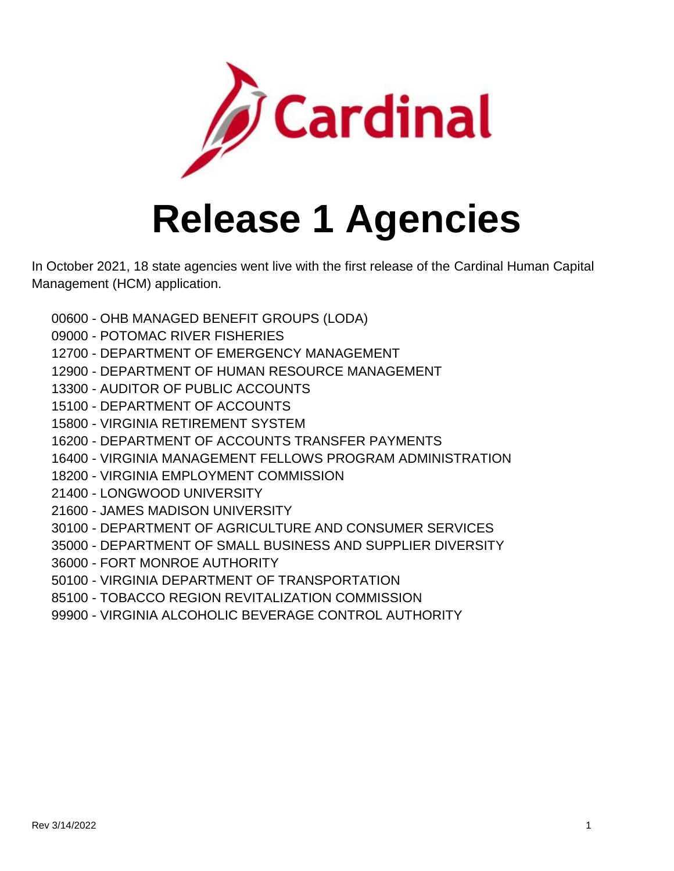

## **Release 1 Agencies**

In October 2021, 18 state agencies went live with the first release of the Cardinal Human Capital Management (HCM) application.

- OHB MANAGED BENEFIT GROUPS (LODA)
- POTOMAC RIVER FISHERIES
- DEPARTMENT OF EMERGENCY MANAGEMENT
- DEPARTMENT OF HUMAN RESOURCE MANAGEMENT
- AUDITOR OF PUBLIC ACCOUNTS
- DEPARTMENT OF ACCOUNTS
- VIRGINIA RETIREMENT SYSTEM
- DEPARTMENT OF ACCOUNTS TRANSFER PAYMENTS
- VIRGINIA MANAGEMENT FELLOWS PROGRAM ADMINISTRATION
- VIRGINIA EMPLOYMENT COMMISSION
- LONGWOOD UNIVERSITY
- JAMES MADISON UNIVERSITY
- DEPARTMENT OF AGRICULTURE AND CONSUMER SERVICES
- DEPARTMENT OF SMALL BUSINESS AND SUPPLIER DIVERSITY
- FORT MONROE AUTHORITY
- VIRGINIA DEPARTMENT OF TRANSPORTATION
- TOBACCO REGION REVITALIZATION COMMISSION
- VIRGINIA ALCOHOLIC BEVERAGE CONTROL AUTHORITY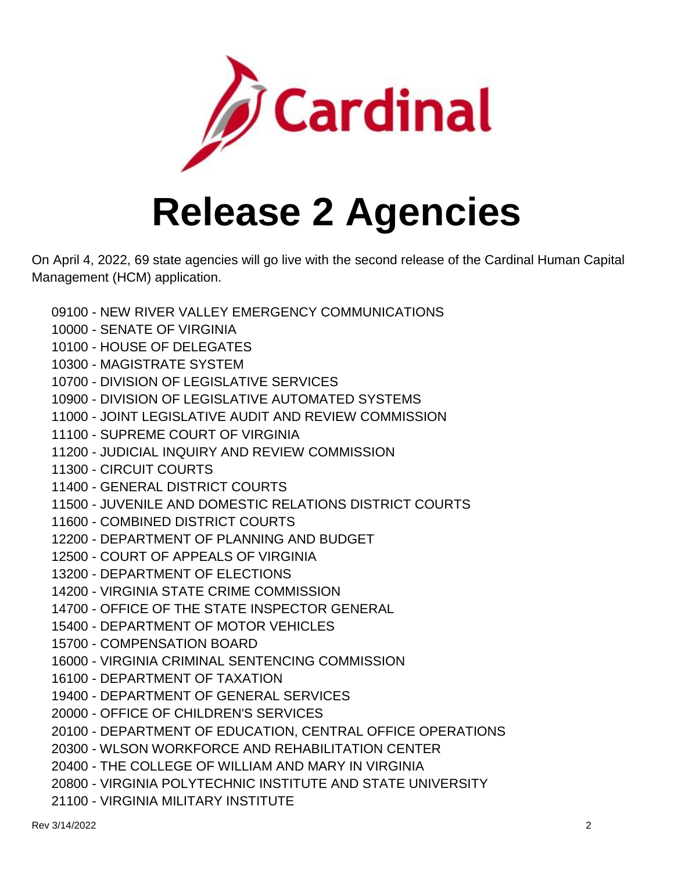

## **Release 2 Agencies**

On April 4, 2022, 69 state agencies will go live with the second release of the Cardinal Human Capital Management (HCM) application.

- 09100 NEW RIVER VALLEY EMERGENCY COMMUNICATIONS
- 10000 SENATE OF VIRGINIA
- 10100 HOUSE OF DELEGATES
- 10300 MAGISTRATE SYSTEM
- 10700 DIVISION OF LEGISLATIVE SERVICES
- 10900 DIVISION OF LEGISLATIVE AUTOMATED SYSTEMS
- 11000 JOINT LEGISLATIVE AUDIT AND REVIEW COMMISSION
- 11100 SUPREME COURT OF VIRGINIA
- 11200 JUDICIAL INQUIRY AND REVIEW COMMISSION
- 11300 CIRCUIT COURTS
- 11400 GENERAL DISTRICT COURTS
- 11500 JUVENILE AND DOMESTIC RELATIONS DISTRICT COURTS
- 11600 COMBINED DISTRICT COURTS
- 12200 DEPARTMENT OF PLANNING AND BUDGET
- 12500 COURT OF APPEALS OF VIRGINIA
- 13200 DEPARTMENT OF ELECTIONS
- 14200 VIRGINIA STATE CRIME COMMISSION
- 14700 OFFICE OF THE STATE INSPECTOR GENERAL
- 15400 DEPARTMENT OF MOTOR VEHICLES
- 15700 COMPENSATION BOARD
- 16000 VIRGINIA CRIMINAL SENTENCING COMMISSION
- 16100 DEPARTMENT OF TAXATION
- 19400 DEPARTMENT OF GENERAL SERVICES
- 20000 OFFICE OF CHILDREN'S SERVICES
- 20100 DEPARTMENT OF EDUCATION, CENTRAL OFFICE OPERATIONS
- 20300 WLSON WORKFORCE AND REHABILITATION CENTER
- 20400 THE COLLEGE OF WILLIAM AND MARY IN VIRGINIA
- 20800 VIRGINIA POLYTECHNIC INSTITUTE AND STATE UNIVERSITY
- 21100 VIRGINIA MILITARY INSTITUTE